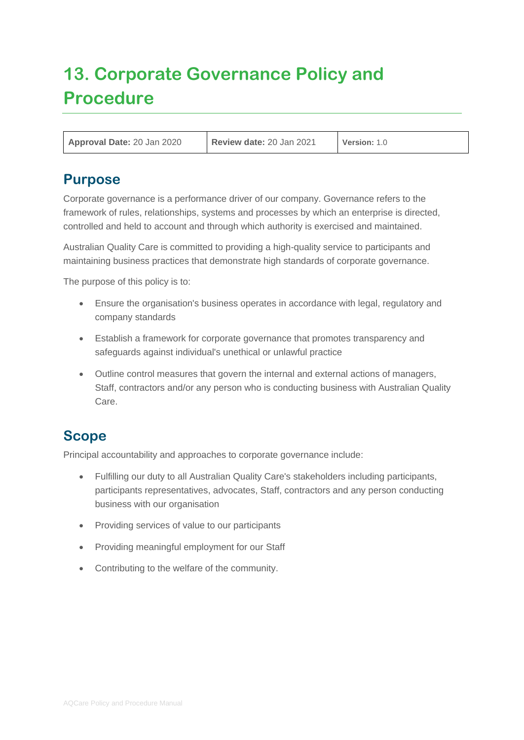# **13. Corporate Governance Policy and Procedure**

| Approval Date: 20 Jan 2020 | Review date: 20 Jan 2021 | Version: 1.0 |
|----------------------------|--------------------------|--------------|
|----------------------------|--------------------------|--------------|

## **Purpose**

Corporate governance is a performance driver of our company. Governance refers to the framework of rules, relationships, systems and processes by which an enterprise is directed, controlled and held to account and through which authority is exercised and maintained.

Australian Quality Care is committed to providing a high-quality service to participants and maintaining business practices that demonstrate high standards of corporate governance.

The purpose of this policy is to:

- Ensure the organisation's business operates in accordance with legal, regulatory and company standards
- Establish a framework for corporate governance that promotes transparency and safeguards against individual's unethical or unlawful practice
- Outline control measures that govern the internal and external actions of managers, Staff, contractors and/or any person who is conducting business with Australian Quality Care.

## **Scope**

Principal accountability and approaches to corporate governance include:

- Fulfilling our duty to all Australian Quality Care's stakeholders including participants, participants representatives, advocates, Staff, contractors and any person conducting business with our organisation
- Providing services of value to our participants
- Providing meaningful employment for our Staff
- Contributing to the welfare of the community.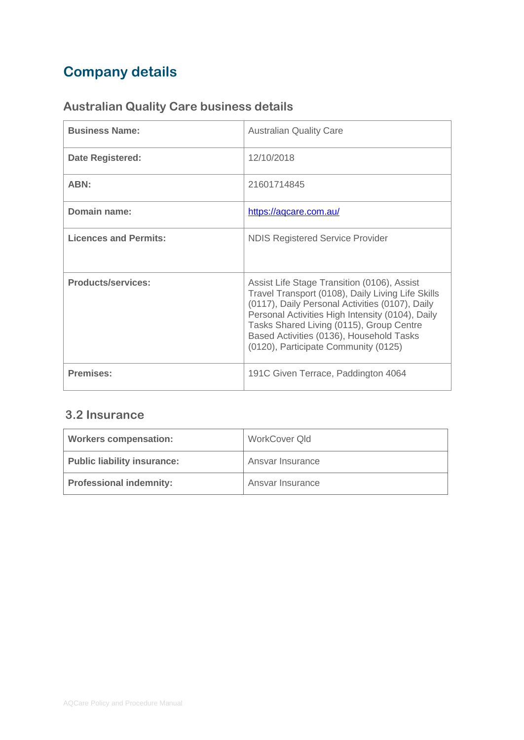## **Company details**

## **Australian Quality Care business details**

| <b>Business Name:</b>        | <b>Australian Quality Care</b>                                                                                                                                                                                                                                                                                                          |
|------------------------------|-----------------------------------------------------------------------------------------------------------------------------------------------------------------------------------------------------------------------------------------------------------------------------------------------------------------------------------------|
| <b>Date Registered:</b>      | 12/10/2018                                                                                                                                                                                                                                                                                                                              |
| ABN:                         | 21601714845                                                                                                                                                                                                                                                                                                                             |
| Domain name:                 | https://aqcare.com.au/                                                                                                                                                                                                                                                                                                                  |
| <b>Licences and Permits:</b> | <b>NDIS Registered Service Provider</b>                                                                                                                                                                                                                                                                                                 |
| <b>Products/services:</b>    | Assist Life Stage Transition (0106), Assist<br>Travel Transport (0108), Daily Living Life Skills<br>(0117), Daily Personal Activities (0107), Daily<br>Personal Activities High Intensity (0104), Daily<br>Tasks Shared Living (0115), Group Centre<br>Based Activities (0136), Household Tasks<br>(0120), Participate Community (0125) |
| <b>Premises:</b>             | 191C Given Terrace, Paddington 4064                                                                                                                                                                                                                                                                                                     |

### **3.2 Insurance**

| <b>Workers compensation:</b>       | WorkCover Qld    |
|------------------------------------|------------------|
| <b>Public liability insurance:</b> | Ansvar Insurance |
| <b>Professional indemnity:</b>     | Ansvar Insurance |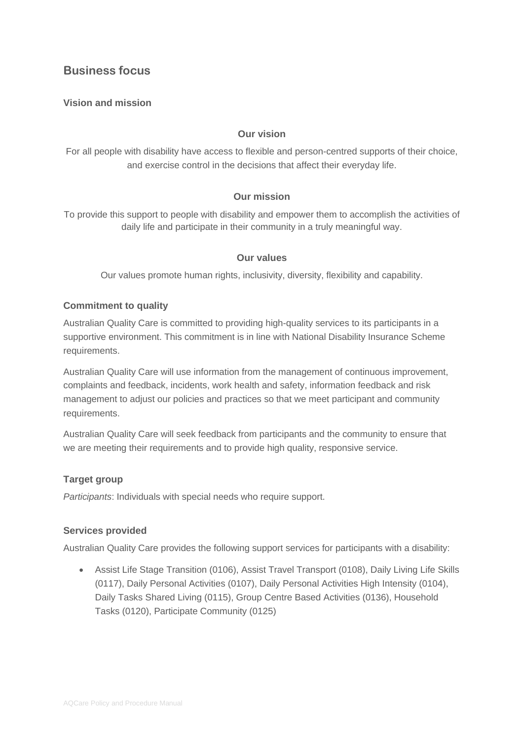### **Business focus**

#### **Vision and mission**

#### **Our vision**

For all people with disability have access to flexible and person-centred supports of their choice, and exercise control in the decisions that affect their everyday life.

#### **Our mission**

To provide this support to people with disability and empower them to accomplish the activities of daily life and participate in their community in a truly meaningful way.

#### **Our values**

Our values promote human rights, inclusivity, diversity, flexibility and capability.

#### **Commitment to quality**

Australian Quality Care is committed to providing high-quality services to its participants in a supportive environment. This commitment is in line with National Disability Insurance Scheme requirements.

Australian Quality Care will use information from the management of continuous improvement, complaints and feedback, incidents, work health and safety, information feedback and risk management to adjust our policies and practices so that we meet participant and community requirements.

Australian Quality Care will seek feedback from participants and the community to ensure that we are meeting their requirements and to provide high quality, responsive service.

#### **Target group**

*Participants*: Individuals with special needs who require support.

#### **Services provided**

Australian Quality Care provides the following support services for participants with a disability:

• Assist Life Stage Transition (0106), Assist Travel Transport (0108), Daily Living Life Skills (0117), Daily Personal Activities (0107), Daily Personal Activities High Intensity (0104), Daily Tasks Shared Living (0115), Group Centre Based Activities (0136), Household Tasks (0120), Participate Community (0125)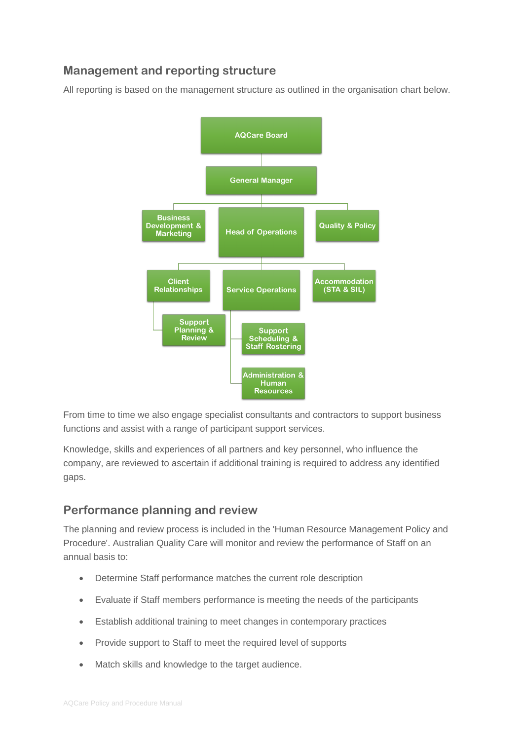## **Management and reporting structure**

All reporting is based on the management structure as outlined in the organisation chart below.



From time to time we also engage specialist consultants and contractors to support business functions and assist with a range of participant support services.

Knowledge, skills and experiences of all partners and key personnel, who influence the company, are reviewed to ascertain if additional training is required to address any identified gaps.

### **Performance planning and review**

The planning and review process is included in the 'Human Resource Management Policy and Procedure'. Australian Quality Care will monitor and review the performance of Staff on an annual basis to:

- Determine Staff performance matches the current role description
- Evaluate if Staff members performance is meeting the needs of the participants
- Establish additional training to meet changes in contemporary practices
- Provide support to Staff to meet the required level of supports
- Match skills and knowledge to the target audience.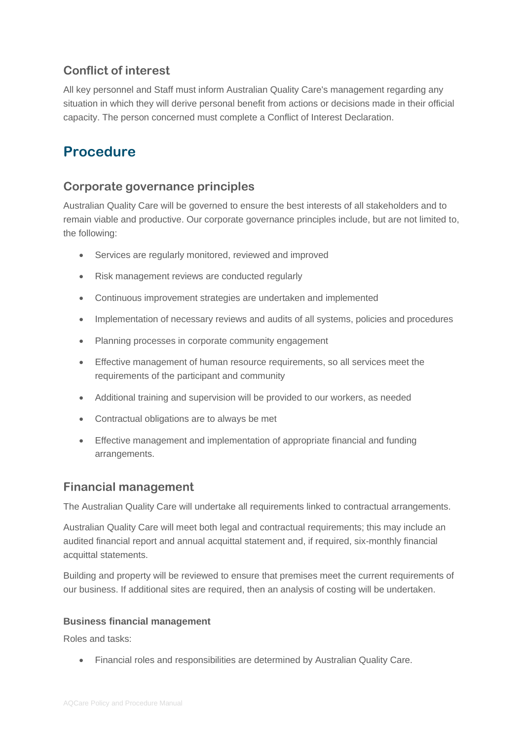## **Conflict of interest**

All key personnel and Staff must inform Australian Quality Care's management regarding any situation in which they will derive personal benefit from actions or decisions made in their official capacity. The person concerned must complete a Conflict of Interest Declaration.

## **Procedure**

### **Corporate governance principles**

Australian Quality Care will be governed to ensure the best interests of all stakeholders and to remain viable and productive. Our corporate governance principles include, but are not limited to, the following:

- Services are regularly monitored, reviewed and improved
- Risk management reviews are conducted regularly
- Continuous improvement strategies are undertaken and implemented
- Implementation of necessary reviews and audits of all systems, policies and procedures
- Planning processes in corporate community engagement
- Effective management of human resource requirements, so all services meet the requirements of the participant and community
- Additional training and supervision will be provided to our workers, as needed
- Contractual obligations are to always be met
- Effective management and implementation of appropriate financial and funding arrangements.

### **Financial management**

The Australian Quality Care will undertake all requirements linked to contractual arrangements.

Australian Quality Care will meet both legal and contractual requirements; this may include an audited financial report and annual acquittal statement and, if required, six-monthly financial acquittal statements.

Building and property will be reviewed to ensure that premises meet the current requirements of our business. If additional sites are required, then an analysis of costing will be undertaken.

#### **Business financial management**

Roles and tasks:

• Financial roles and responsibilities are determined by Australian Quality Care.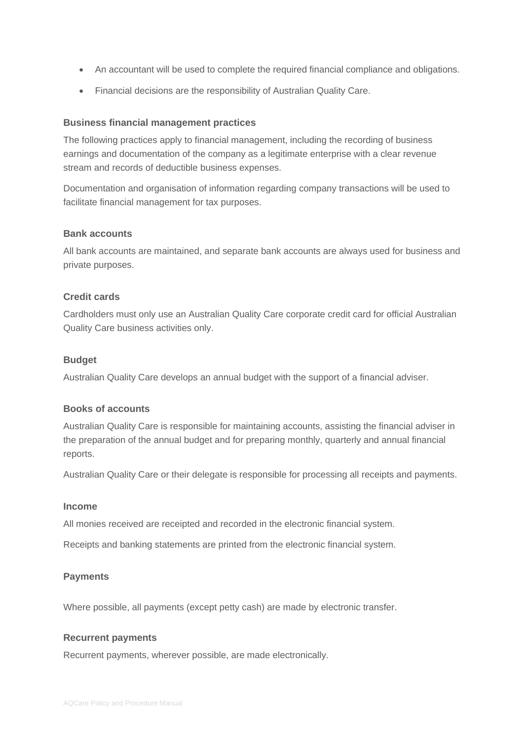- An accountant will be used to complete the required financial compliance and obligations.
- Financial decisions are the responsibility of Australian Quality Care.

#### **Business financial management practices**

The following practices apply to financial management, including the recording of business earnings and documentation of the company as a legitimate enterprise with a clear revenue stream and records of deductible business expenses.

Documentation and organisation of information regarding company transactions will be used to facilitate financial management for tax purposes.

#### **Bank accounts**

All bank accounts are maintained, and separate bank accounts are always used for business and private purposes.

#### **Credit cards**

Cardholders must only use an Australian Quality Care corporate credit card for official Australian Quality Care business activities only.

#### **Budget**

Australian Quality Care develops an annual budget with the support of a financial adviser.

#### **Books of accounts**

Australian Quality Care is responsible for maintaining accounts, assisting the financial adviser in the preparation of the annual budget and for preparing monthly, quarterly and annual financial reports.

Australian Quality Care or their delegate is responsible for processing all receipts and payments.

#### **Income**

All monies received are receipted and recorded in the electronic financial system.

Receipts and banking statements are printed from the electronic financial system.

#### **Payments**

Where possible, all payments (except petty cash) are made by electronic transfer.

#### **Recurrent payments**

Recurrent payments, wherever possible, are made electronically.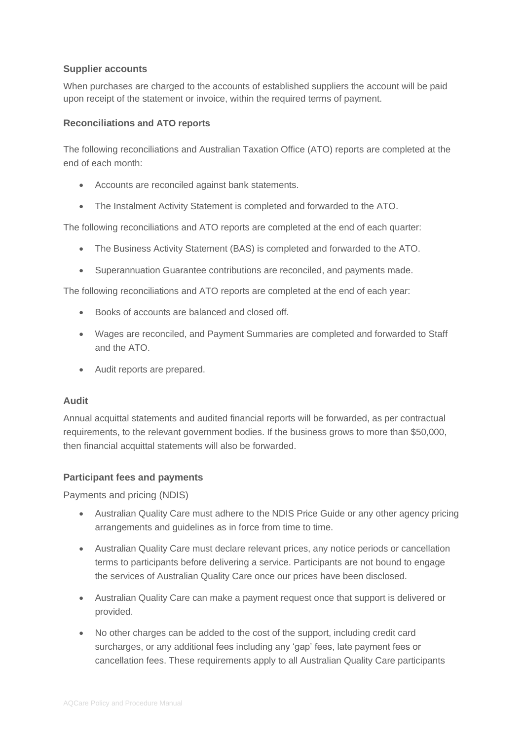#### **Supplier accounts**

When purchases are charged to the accounts of established suppliers the account will be paid upon receipt of the statement or invoice, within the required terms of payment.

#### **Reconciliations and ATO reports**

The following reconciliations and Australian Taxation Office (ATO) reports are completed at the end of each month:

- Accounts are reconciled against bank statements.
- The Instalment Activity Statement is completed and forwarded to the ATO.

The following reconciliations and ATO reports are completed at the end of each quarter:

- The Business Activity Statement (BAS) is completed and forwarded to the ATO.
- Superannuation Guarantee contributions are reconciled, and payments made.

The following reconciliations and ATO reports are completed at the end of each year:

- Books of accounts are balanced and closed off.
- Wages are reconciled, and Payment Summaries are completed and forwarded to Staff and the ATO.
- Audit reports are prepared.

#### **Audit**

Annual acquittal statements and audited financial reports will be forwarded, as per contractual requirements, to the relevant government bodies. If the business grows to more than \$50,000, then financial acquittal statements will also be forwarded.

#### **Participant fees and payments**

Payments and pricing (NDIS)

- Australian Quality Care must adhere to the NDIS Price Guide or any other agency pricing arrangements and guidelines as in force from time to time.
- Australian Quality Care must declare relevant prices, any notice periods or cancellation terms to participants before delivering a service. Participants are not bound to engage the services of Australian Quality Care once our prices have been disclosed.
- Australian Quality Care can make a payment request once that support is delivered or provided.
- No other charges can be added to the cost of the support, including credit card surcharges, or any additional fees including any 'gap' fees, late payment fees or cancellation fees. These requirements apply to all Australian Quality Care participants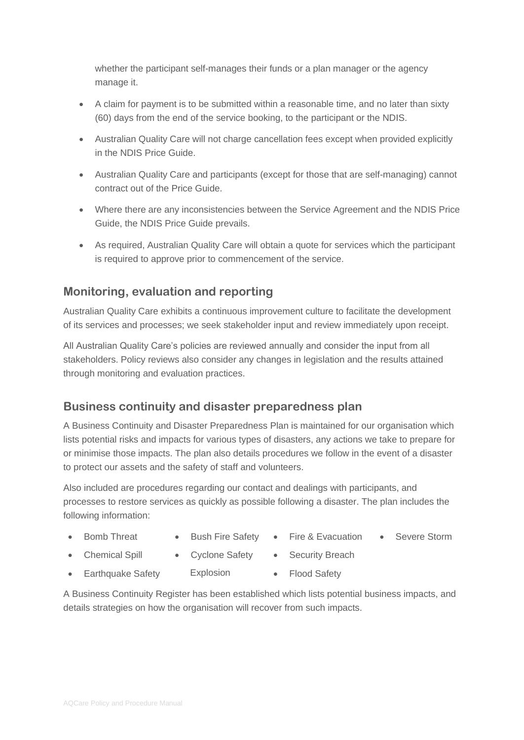whether the participant self-manages their funds or a plan manager or the agency manage it.

- A claim for payment is to be submitted within a reasonable time, and no later than sixty (60) days from the end of the service booking, to the participant or the NDIS.
- Australian Quality Care will not charge cancellation fees except when provided explicitly in the NDIS Price Guide.
- Australian Quality Care and participants (except for those that are self-managing) cannot contract out of the Price Guide.
- Where there are any inconsistencies between the Service Agreement and the NDIS Price Guide, the NDIS Price Guide prevails.
- As required, Australian Quality Care will obtain a quote for services which the participant is required to approve prior to commencement of the service.

### **Monitoring, evaluation and reporting**

Australian Quality Care exhibits a continuous improvement culture to facilitate the development of its services and processes; we seek stakeholder input and review immediately upon receipt.

All Australian Quality Care's policies are reviewed annually and consider the input from all stakeholders. Policy reviews also consider any changes in legislation and the results attained through monitoring and evaluation practices.

### **Business continuity and disaster preparedness plan**

A Business Continuity and Disaster Preparedness Plan is maintained for our organisation which lists potential risks and impacts for various types of disasters, any actions we take to prepare for or minimise those impacts. The plan also details procedures we follow in the event of a disaster to protect our assets and the safety of staff and volunteers.

Also included are procedures regarding our contact and dealings with participants, and processes to restore services as quickly as possible following a disaster. The plan includes the following information:

- -
	- Bomb Threat Bush Fire Safety Fire & Evacuation Severe Storm
	-
- 
- Chemical Spill Cyclone Safety Security Breach
	-
- Earthquake Safety Explosion Flood Safety
	-

A Business Continuity Register has been established which lists potential business impacts, and details strategies on how the organisation will recover from such impacts.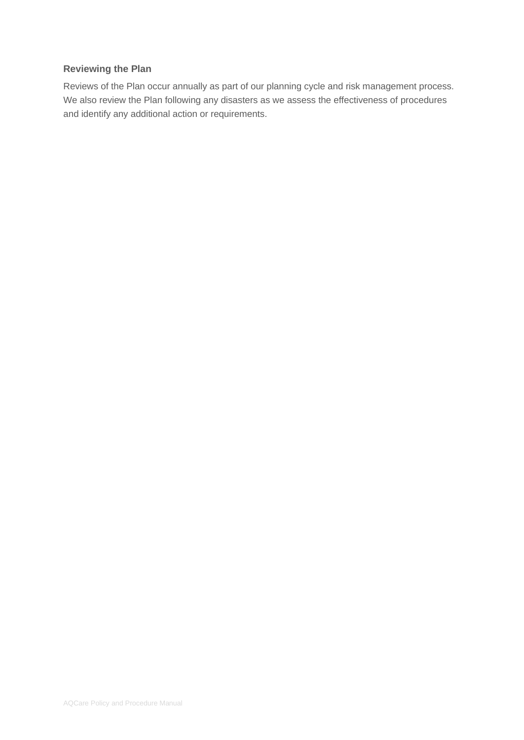#### **Reviewing the Plan**

Reviews of the Plan occur annually as part of our planning cycle and risk management process. We also review the Plan following any disasters as we assess the effectiveness of procedures and identify any additional action or requirements.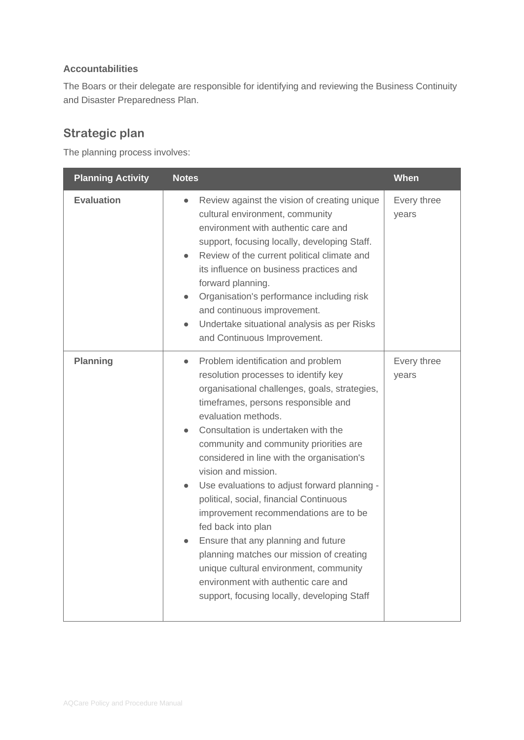#### **Accountabilities**

The Boars or their delegate are responsible for identifying and reviewing the Business Continuity and Disaster Preparedness Plan.

## **Strategic plan**

The planning process involves:

| <b>Planning Activity</b> | <b>Notes</b>                                                                                                                                                                                                                                                                                                                                                                                                                                                                                                                                                                                                                                                                                                                              | When                 |
|--------------------------|-------------------------------------------------------------------------------------------------------------------------------------------------------------------------------------------------------------------------------------------------------------------------------------------------------------------------------------------------------------------------------------------------------------------------------------------------------------------------------------------------------------------------------------------------------------------------------------------------------------------------------------------------------------------------------------------------------------------------------------------|----------------------|
| <b>Evaluation</b>        | Review against the vision of creating unique<br>$\bullet$<br>cultural environment, community<br>environment with authentic care and<br>support, focusing locally, developing Staff.<br>Review of the current political climate and<br>its influence on business practices and<br>forward planning.<br>Organisation's performance including risk<br>$\bullet$<br>and continuous improvement.<br>Undertake situational analysis as per Risks<br>and Continuous Improvement.                                                                                                                                                                                                                                                                 | Every three<br>years |
| Planning                 | Problem identification and problem<br>$\bullet$<br>resolution processes to identify key<br>organisational challenges, goals, strategies,<br>timeframes, persons responsible and<br>evaluation methods.<br>Consultation is undertaken with the<br>community and community priorities are<br>considered in line with the organisation's<br>vision and mission.<br>Use evaluations to adjust forward planning -<br>political, social, financial Continuous<br>improvement recommendations are to be<br>fed back into plan<br>Ensure that any planning and future<br>planning matches our mission of creating<br>unique cultural environment, community<br>environment with authentic care and<br>support, focusing locally, developing Staff | Every three<br>years |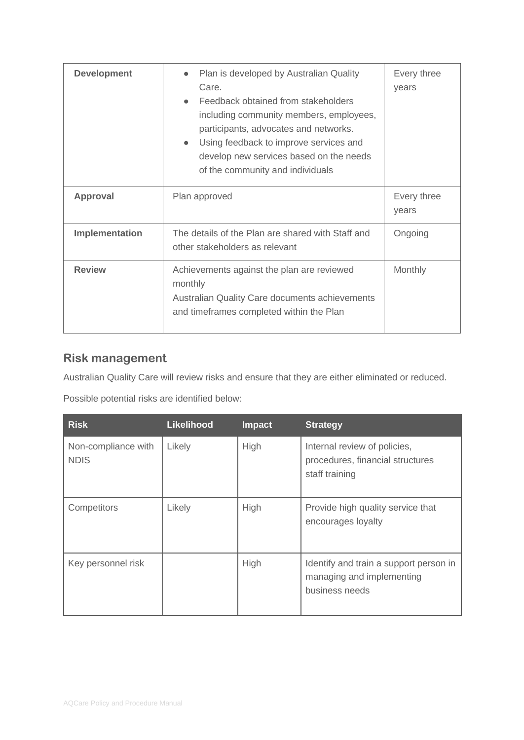| <b>Development</b> | Plan is developed by Australian Quality<br>Care.<br>Feedback obtained from stakeholders<br>$\bullet$<br>including community members, employees,<br>participants, advocates and networks.<br>Using feedback to improve services and<br>$\bullet$<br>develop new services based on the needs<br>of the community and individuals | Every three<br>years |
|--------------------|--------------------------------------------------------------------------------------------------------------------------------------------------------------------------------------------------------------------------------------------------------------------------------------------------------------------------------|----------------------|
| Approval           | Plan approved                                                                                                                                                                                                                                                                                                                  | Every three<br>years |
| Implementation     | The details of the Plan are shared with Staff and<br>other stakeholders as relevant                                                                                                                                                                                                                                            | Ongoing              |
| <b>Review</b>      | Achievements against the plan are reviewed<br>monthly<br>Australian Quality Care documents achievements<br>and timeframes completed within the Plan                                                                                                                                                                            | Monthly              |

## **Risk management**

Australian Quality Care will review risks and ensure that they are either eliminated or reduced.

Possible potential risks are identified below:

| <b>Risk</b>                        | <b>Likelihood</b> | <b>Impact</b> | <b>Strategy</b>                                                                       |
|------------------------------------|-------------------|---------------|---------------------------------------------------------------------------------------|
| Non-compliance with<br><b>NDIS</b> | Likely            | High          | Internal review of policies,<br>procedures, financial structures<br>staff training    |
| Competitors                        | Likely            | High          | Provide high quality service that<br>encourages loyalty                               |
| Key personnel risk                 |                   | High          | Identify and train a support person in<br>managing and implementing<br>business needs |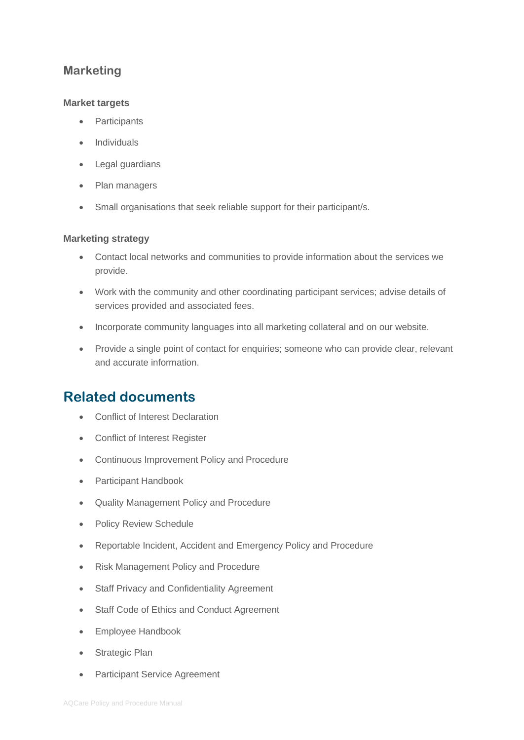### **Marketing**

#### **Market targets**

- **Participants**
- Individuals
- Legal guardians
- Plan managers
- Small organisations that seek reliable support for their participant/s.

#### **Marketing strategy**

- Contact local networks and communities to provide information about the services we provide.
- Work with the community and other coordinating participant services; advise details of services provided and associated fees.
- Incorporate community languages into all marketing collateral and on our website.
- Provide a single point of contact for enquiries; someone who can provide clear, relevant and accurate information.

## **Related documents**

- Conflict of Interest Declaration
- Conflict of Interest Register
- Continuous Improvement Policy and Procedure
- Participant Handbook
- Quality Management Policy and Procedure
- Policy Review Schedule
- Reportable Incident, Accident and Emergency Policy and Procedure
- Risk Management Policy and Procedure
- Staff Privacy and Confidentiality Agreement
- Staff Code of Ethics and Conduct Agreement
- Employee Handbook
- Strategic Plan
- Participant Service Agreement